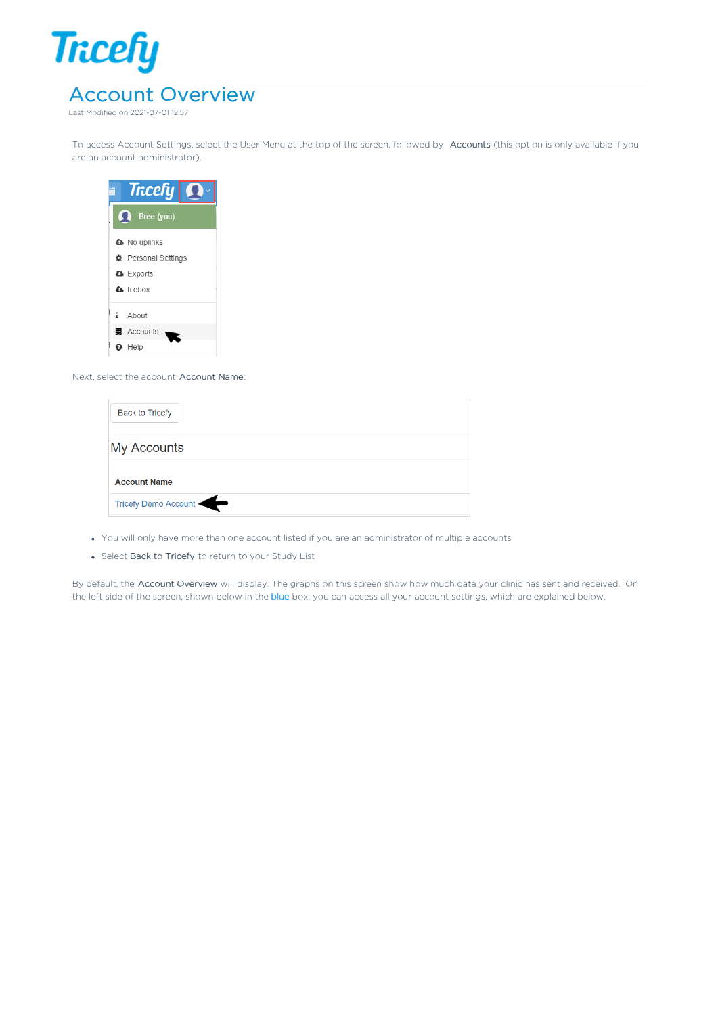

To access Account Settings, select the User Menu at the top of the screen, followed by Accounts (this option is only available if you are an account administrator).

| <b>Tricefy</b> |                     |  |  |  |  |
|----------------|---------------------|--|--|--|--|
|                | Bree (you)<br>52    |  |  |  |  |
|                | <b>a</b> No uplinks |  |  |  |  |
|                | † Personal Settings |  |  |  |  |
|                | <b>A</b> Exports    |  |  |  |  |
|                | <b>A</b> Icebox     |  |  |  |  |
|                | i About             |  |  |  |  |
|                | <b>■</b> Accounts   |  |  |  |  |
|                | <b>O</b> Help       |  |  |  |  |

Next, select the account Account Name:

| <b>Back to Tricefy</b> |  |  |
|------------------------|--|--|
| <b>My Accounts</b>     |  |  |
| <b>Account Name</b>    |  |  |
| Tricefy Demo Account   |  |  |

- You will only have more than one account listed if you are an administrator of multiple accounts
- Select Back to Tricefy to return to your Study List

By default, the Account Overview will display. The graphs on this screen show how much data your clinic has sent and received. On the left side of the screen, shown below in the blue box, you can access all your account settings, which are explained below.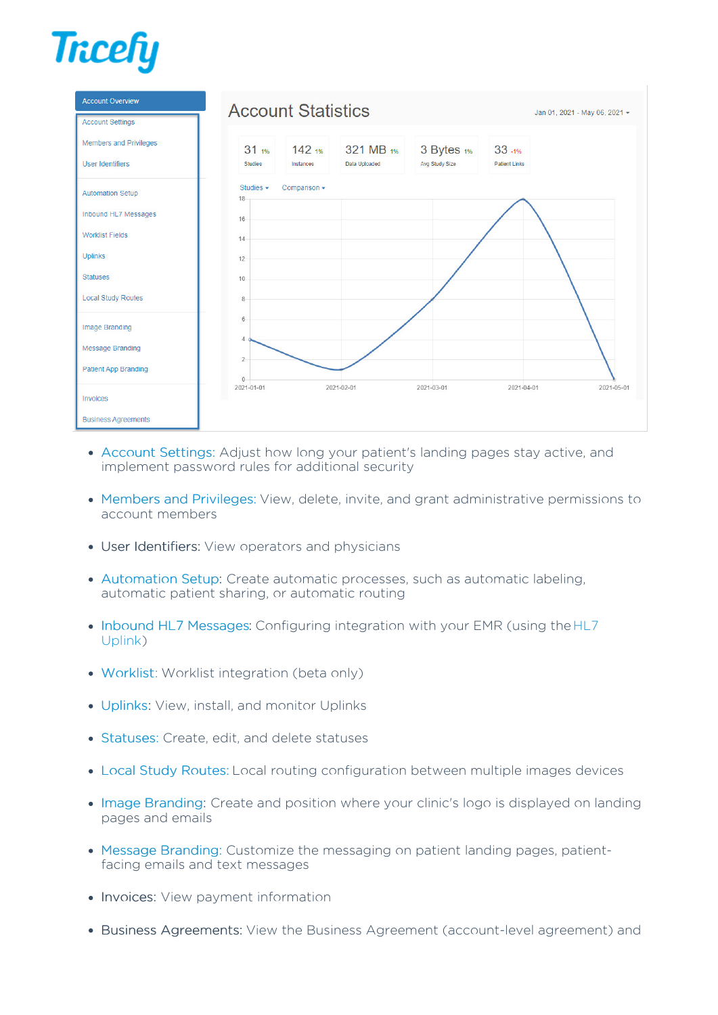



- Account Settings: Adjust how long your patient's landing pages stay active, and implement password rules for additional security
- Members and Privileges: View, delete, invite, and grant administrative permissions to account members
- User Identifiers: View operators and physicians
- Automation Setup: Create automatic processes, such as automatic labeling, automatic patient sharing, or automatic routing
- Inbound HL7 Messages: Configuring integration with your EMR (using the HL7 Uplink)
- Worklist: Worklist integration (beta only)
- Uplinks: View, install, and monitor Uplinks
- Statuses: Create, edit, and delete statuses
- Local Study Routes: Local routing configuration between multiple images devices
- Image Branding: Create and position where your clinic's logo is displayed on landing pages and emails
- Message Branding: Customize the messaging on patient landing pages, patientfacing emails and text messages
- Invoices: View payment information
- Business Agreements: View the Business Agreement (account-level agreement) and